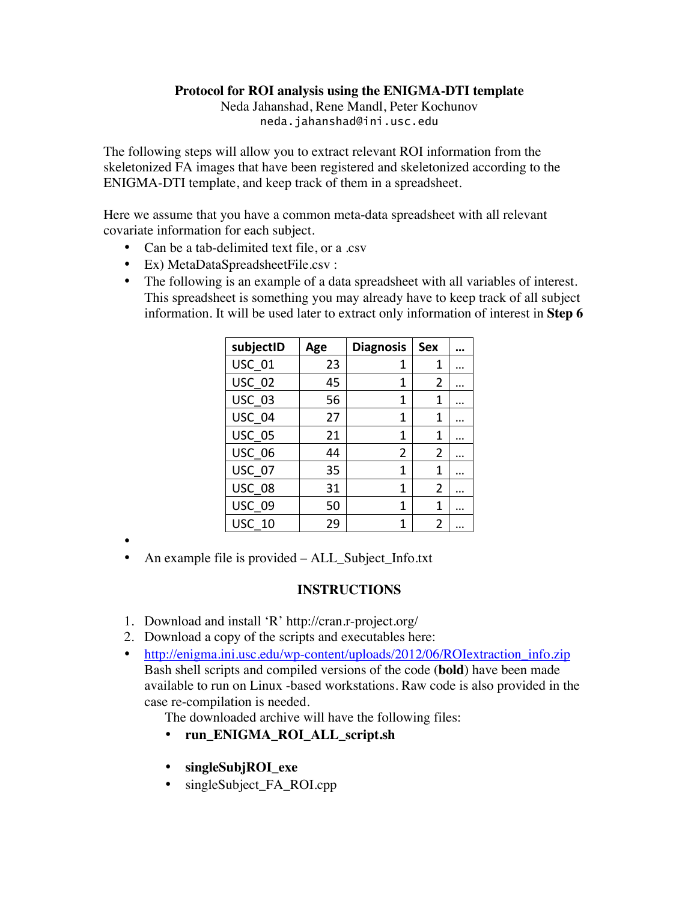## **Protocol for ROI analysis using the ENIGMA-DTI template**

Neda Jahanshad, Rene Mandl, Peter Kochunov neda.jahanshad@ini.usc.edu

The following steps will allow you to extract relevant ROI information from the skeletonized FA images that have been registered and skeletonized according to the ENIGMA-DTI template, and keep track of them in a spreadsheet.

Here we assume that you have a common meta-data spreadsheet with all relevant covariate information for each subject.

- Can be a tab-delimited text file, or a .csv
- Ex) MetaDataSpreadsheetFile.csv:
- The following is an example of a data spreadsheet with all variables of interest. This spreadsheet is something you may already have to keep track of all subject information. It will be used later to extract only information of interest in **Step 6**

| subjectID     | Age | <b>Diagnosis</b> | <b>Sex</b>     |  |
|---------------|-----|------------------|----------------|--|
| <b>USC 01</b> | 23  | 1                | 1              |  |
| <b>USC 02</b> | 45  | 1                | 2              |  |
| <b>USC 03</b> | 56  | 1                | 1              |  |
| USC 04        | 27  | 1                | 1              |  |
| <b>USC 05</b> | 21  | 1                | 1              |  |
| <b>USC 06</b> | 44  | 2                | 2              |  |
| <b>USC 07</b> | 35  | 1                | 1              |  |
| <b>USC 08</b> | 31  | 1                | $\overline{2}$ |  |
| <b>USC 09</b> | 50  | 1                | 1              |  |
| <b>USC 10</b> | 29  | 1                | 2              |  |

•

• An example file is provided – ALL\_Subject\_Info.txt

## **INSTRUCTIONS**

- 1. Download and install 'R' http://cran.r-project.org/
- 2. Download a copy of the scripts and executables here:
- http://enigma.ini.usc.edu/wp-content/uploads/2012/06/ROIextraction info.zip Bash shell scripts and compiled versions of the code (**bold**) have been made available to run on Linux -based workstations. Raw code is also provided in the case re-compilation is needed.

The downloaded archive will have the following files:

- **run\_ENIGMA\_ROI\_ALL\_script.sh**
- **singleSubjROI\_exe**
- singleSubject FA\_ROI.cpp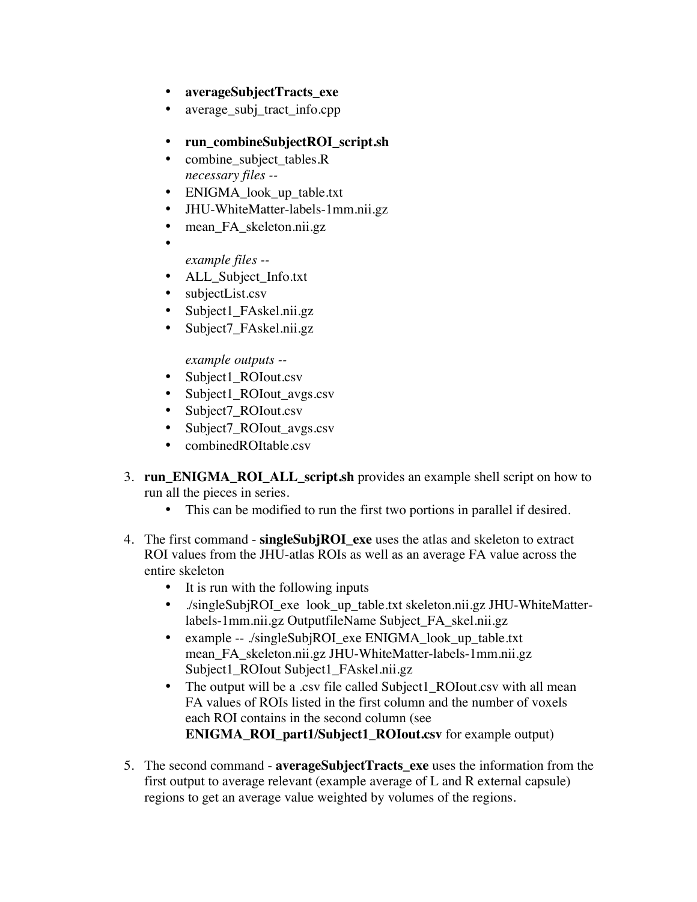- **averageSubjectTracts\_exe**
- average\_subj\_tract\_info.cpp
- **run\_combineSubjectROI\_script.sh**
- combine\_subject\_tables.R *necessary files --*
- ENIGMA\_look\_up\_table.txt
- JHU-WhiteMatter-labels-1mm.nii.gz
- mean FA skeleton.nii.gz
	- *example files --*

•

- ALL Subject Info.txt
- subjectList.csv
- Subject1\_FAskel.nii.gz
- Subject7\_FAskel.nii.gz

## *example outputs --*

- Subject1\_ROIout.csv
- Subject1\_ROIout\_avgs.csv
- Subject7 ROIout.csv
- Subject7\_ROIout\_avgs.csv
- combinedROItable.csv
- 3. **run\_ENIGMA\_ROI\_ALL\_script.sh** provides an example shell script on how to run all the pieces in series.
	- This can be modified to run the first two portions in parallel if desired.
- 4. The first command **singleSubjROI\_exe** uses the atlas and skeleton to extract ROI values from the JHU-atlas ROIs as well as an average FA value across the entire skeleton
	- It is run with the following inputs
	- ./singleSubjROI\_exe look\_up\_table.txt skeleton.nii.gz JHU-WhiteMatterlabels-1mm.nii.gz OutputfileName Subject\_FA\_skel.nii.gz
	- example -- ./singleSubjROI\_exe ENIGMA\_look\_up\_table.txt mean\_FA\_skeleton.nii.gz JHU-WhiteMatter-labels-1mm.nii.gz Subject1\_ROIout Subject1\_FAskel.nii.gz
	- The output will be a .csv file called Subject1\_ROIout.csv with all mean FA values of ROIs listed in the first column and the number of voxels each ROI contains in the second column (see **ENIGMA\_ROI\_part1/Subject1\_ROIout.csv** for example output)
- 5. The second command **averageSubjectTracts\_exe** uses the information from the first output to average relevant (example average of L and R external capsule) regions to get an average value weighted by volumes of the regions.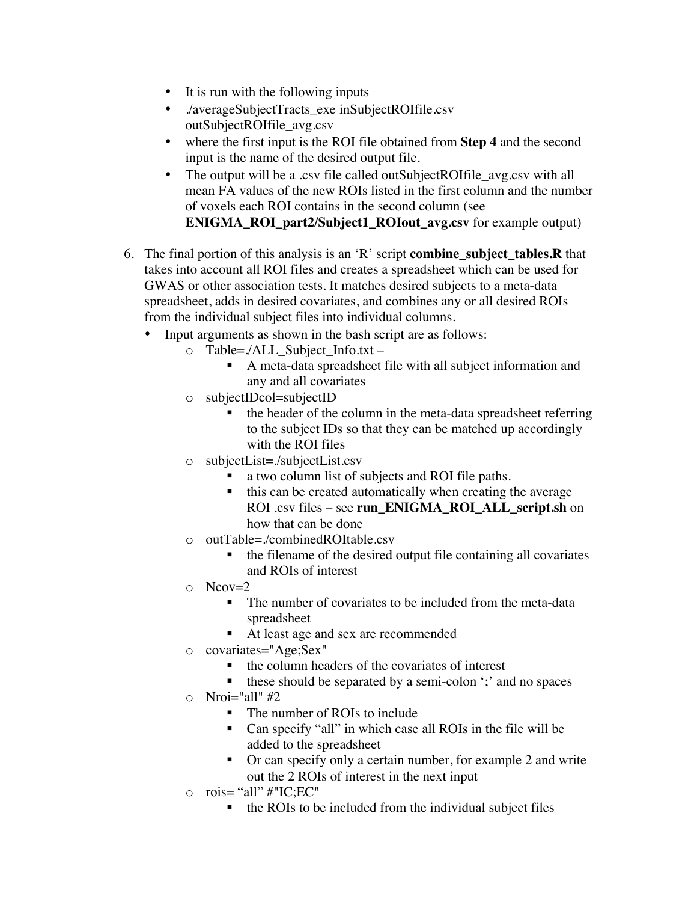- It is run with the following inputs
- ./averageSubjectTracts\_exe inSubjectROIfile.csv outSubjectROIfile\_avg.csv
- where the first input is the ROI file obtained from **Step 4** and the second input is the name of the desired output file.
- The output will be a .csv file called outSubjectROIfile\_avg.csv with all mean FA values of the new ROIs listed in the first column and the number of voxels each ROI contains in the second column (see **ENIGMA\_ROI\_part2/Subject1\_ROIout\_avg.csv** for example output)
- 6. The final portion of this analysis is an 'R' script **combine\_subject\_tables.R** that takes into account all ROI files and creates a spreadsheet which can be used for GWAS or other association tests. It matches desired subjects to a meta-data spreadsheet, adds in desired covariates, and combines any or all desired ROIs from the individual subject files into individual columns.
	- Input arguments as shown in the bash script are as follows:
		- o Table=./ALL\_Subject\_Info.txt
			- A meta-data spreadsheet file with all subject information and any and all covariates
		- o subjectIDcol=subjectID
			- the header of the column in the meta-data spreadsheet referring to the subject IDs so that they can be matched up accordingly with the ROI files
		- o subjectList=./subjectList.csv
			- a two column list of subjects and ROI file paths.
			- this can be created automatically when creating the average ROI .csv files – see **run\_ENIGMA\_ROI\_ALL\_script.sh** on how that can be done
		- o outTable=./combinedROItable.csv
			- the filename of the desired output file containing all covariates and ROIs of interest
		- $\circ$  Ncov=2
			- The number of covariates to be included from the meta-data spreadsheet
			- At least age and sex are recommended
		- o covariates="Age;Sex"
			- § the column headers of the covariates of interest
			- these should be separated by a semi-colon ';' and no spaces
		- $\circ$  Nroi="all" #2
			- The number of ROIs to include
			- Can specify "all" in which case all ROIs in the file will be added to the spreadsheet
			- Or can specify only a certain number, for example 2 and write out the 2 ROIs of interest in the next input
		- $\circ$  rois= "all" #"IC;EC"
			- the ROIs to be included from the individual subject files